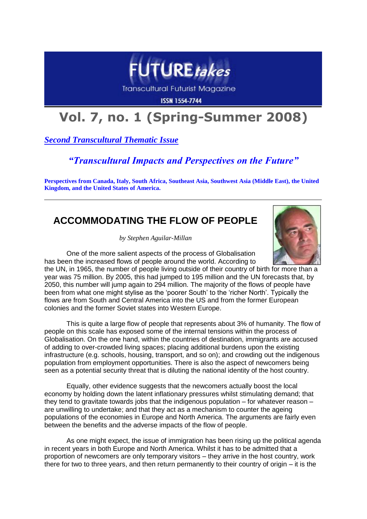

**Transcultural Futurist Magazine** 

**ISSN 1554-7744** 

# **Vol. 7, no. 1 (Spring-Summer 2008)**

*Second Transcultural Thematic Issue*

### *"Transcultural Impacts and Perspectives on the Future"*

**Perspectives from Canada, Italy, South Africa, Southeast Asia, Southwest Asia (Middle East), the United Kingdom, and the United States of America.**

## **ACCOMMODATING THE FLOW OF PEOPLE**

*by Stephen Aguilar-Millan*



One of the more salient aspects of the process of Globalisation has been the increased flows of people around the world. According to

the UN, in 1965, the number of people living outside of their country of birth for more than a year was 75 million. By 2005, this had jumped to 195 million and the UN forecasts that, by 2050, this number will jump again to 294 million. The majority of the flows of people have been from what one might stylise as the 'poorer South' to the 'richer North'. Typically the flows are from South and Central America into the US and from the former European colonies and the former Soviet states into Western Europe.

This is quite a large flow of people that represents about 3% of humanity. The flow of people on this scale has exposed some of the internal tensions within the process of Globalisation. On the one hand, within the countries of destination, immigrants are accused of adding to over-crowded living spaces; placing additional burdens upon the existing infrastructure (e.g. schools, housing, transport, and so on); and crowding out the indigenous population from employment opportunities. There is also the aspect of newcomers being seen as a potential security threat that is diluting the national identity of the host country.

Equally, other evidence suggests that the newcomers actually boost the local economy by holding down the latent inflationary pressures whilst stimulating demand; that they tend to gravitate towards jobs that the indigenous population  $-$  for whatever reason  $$ are unwilling to undertake; and that they act as a mechanism to counter the ageing populations of the economies in Europe and North America. The arguments are fairly even between the benefits and the adverse impacts of the flow of people.

As one might expect, the issue of immigration has been rising up the political agenda in recent years in both Europe and North America. Whilst it has to be admitted that a proportion of newcomers are only temporary visitors – they arrive in the host country, work there for two to three years, and then return permanently to their country of origin – it is the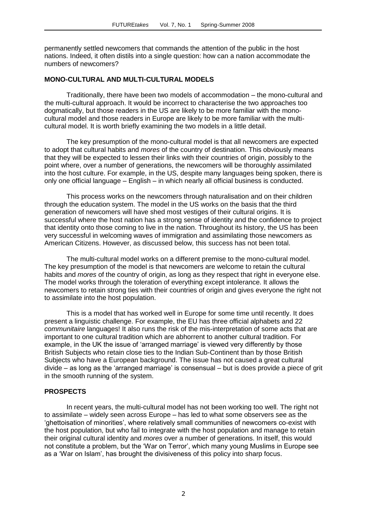permanently settled newcomers that commands the attention of the public in the host nations. Indeed, it often distils into a single question: how can a nation accommodate the numbers of newcomers?

#### **MONO-CULTURAL AND MULTI-CULTURAL MODELS**

Traditionally, there have been two models of accommodation – the mono-cultural and the multi-cultural approach. It would be incorrect to characterise the two approaches too dogmatically, but those readers in the US are likely to be more familiar with the monocultural model and those readers in Europe are likely to be more familiar with the multicultural model. It is worth briefly examining the two models in a little detail.

The key presumption of the mono-cultural model is that all newcomers are expected to adopt that cultural habits and *mores* of the country of destination. This obviously means that they will be expected to lessen their links with their countries of origin, possibly to the point where, over a number of generations, the newcomers will be thoroughly assimilated into the host culture. For example, in the US, despite many languages being spoken, there is only one official language – English – in which nearly all official business is conducted.

This process works on the newcomers through naturalisation and on their children through the education system. The model in the US works on the basis that the third generation of newcomers will have shed most vestiges of their cultural origins. It is successful where the host nation has a strong sense of identity and the confidence to project that identity onto those coming to live in the nation. Throughout its history, the US has been very successful in welcoming waves of immigration and assimilating those newcomers as American Citizens. However, as discussed below, this success has not been total.

The multi-cultural model works on a different premise to the mono-cultural model. The key presumption of the model is that newcomers are welcome to retain the cultural habits and *mores* of the country of origin, as long as they respect that right in everyone else. The model works through the toleration of everything except intolerance. It allows the newcomers to retain strong ties with their countries of origin and gives everyone the right not to assimilate into the host population.

This is a model that has worked well in Europe for some time until recently. It does present a linguistic challenge. For example, the EU has three official alphabets and 22 *communitaire* languages! It also runs the risk of the mis-interpretation of some acts that are important to one cultural tradition which are abhorrent to another cultural tradition. For example, in the UK the issue of 'arranged marriage' is viewed very differently by those British Subjects who retain close ties to the Indian Sub-Continent than by those British Subjects who have a European background. The issue has not caused a great cultural divide – as long as the 'arranged marriage' is consensual – but is does provide a piece of grit in the smooth running of the system.

#### **PROSPECTS**

In recent years, the multi-cultural model has not been working too well. The right not to assimilate – widely seen across Europe – has led to what some observers see as the 'ghettoisation of minorities', where relatively small communities of newcomers co-exist with the host population, but who fail to integrate with the host population and manage to retain their original cultural identity and *mores* over a number of generations. In itself, this would not constitute a problem, but the 'War on Terror', which many young Muslims in Europe see as a 'War on Islam', has brought the divisiveness of this policy into sharp focus.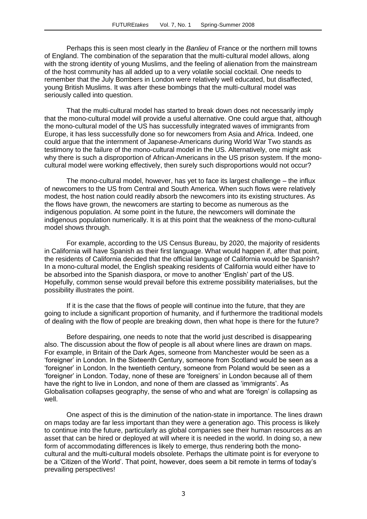Perhaps this is seen most clearly in the *Banlieu* of France or the northern mill towns of England. The combination of the separation that the multi-cultural model allows, along with the strong identity of young Muslims, and the feeling of alienation from the mainstream of the host community has all added up to a very volatile social cocktail. One needs to remember that the July Bombers in London were relatively well educated, but disaffected, young British Muslims. It was after these bombings that the multi-cultural model was seriously called into question.

That the multi-cultural model has started to break down does not necessarily imply that the mono-cultural model will provide a useful alternative. One could argue that, although the mono-cultural model of the US has successfully integrated waves of immigrants from Europe, it has less successfully done so for newcomers from Asia and Africa. Indeed, one could argue that the internment of Japanese-Americans during World War Two stands as testimony to the failure of the mono-cultural model in the US. Alternatively, one might ask why there is such a disproportion of African-Americans in the US prison system. If the monocultural model were working effectively, then surely such disproportions would not occur?

The mono-cultural model, however, has yet to face its largest challenge – the influx of newcomers to the US from Central and South America. When such flows were relatively modest, the host nation could readily absorb the newcomers into its existing structures. As the flows have grown, the newcomers are starting to become as numerous as the indigenous population. At some point in the future, the newcomers will dominate the indigenous population numerically. It is at this point that the weakness of the mono-cultural model shows through.

For example, according to the US Census Bureau, by 2020, the majority of residents in California will have Spanish as their first language. What would happen if, after that point, the residents of California decided that the official language of California would be Spanish? In a mono-cultural model, the English speaking residents of California would either have to be absorbed into the Spanish diaspora, or move to another 'English' part of the US. Hopefully, common sense would prevail before this extreme possibility materialises, but the possibility illustrates the point.

If it is the case that the flows of people will continue into the future, that they are going to include a significant proportion of humanity, and if furthermore the traditional models of dealing with the flow of people are breaking down, then what hope is there for the future?

Before despairing, one needs to note that the world just described is disappearing also. The discussion about the flow of people is all about where lines are drawn on maps. For example, in Britain of the Dark Ages, someone from Manchester would be seen as a 'foreigner' in London. In the Sixteenth Century, someone from Scotland would be seen as a 'foreigner' in London. In the twentieth century, someone from Poland would be seen as a 'foreigner' in London. Today, none of these are 'foreigners' in London because all of them have the right to live in London, and none of them are classed as 'immigrants'. As Globalisation collapses geography, the sense of who and what are 'foreign' is collapsing as well.

One aspect of this is the diminution of the nation-state in importance. The lines drawn on maps today are far less important than they were a generation ago. This process is likely to continue into the future, particularly as global companies see their human resources as an asset that can be hired or deployed at will where it is needed in the world. In doing so, a new form of accommodating differences is likely to emerge, thus rendering both the monocultural and the multi-cultural models obsolete. Perhaps the ultimate point is for everyone to be a 'Citizen of the World'. That point, however, does seem a bit remote in terms of today's prevailing perspectives!